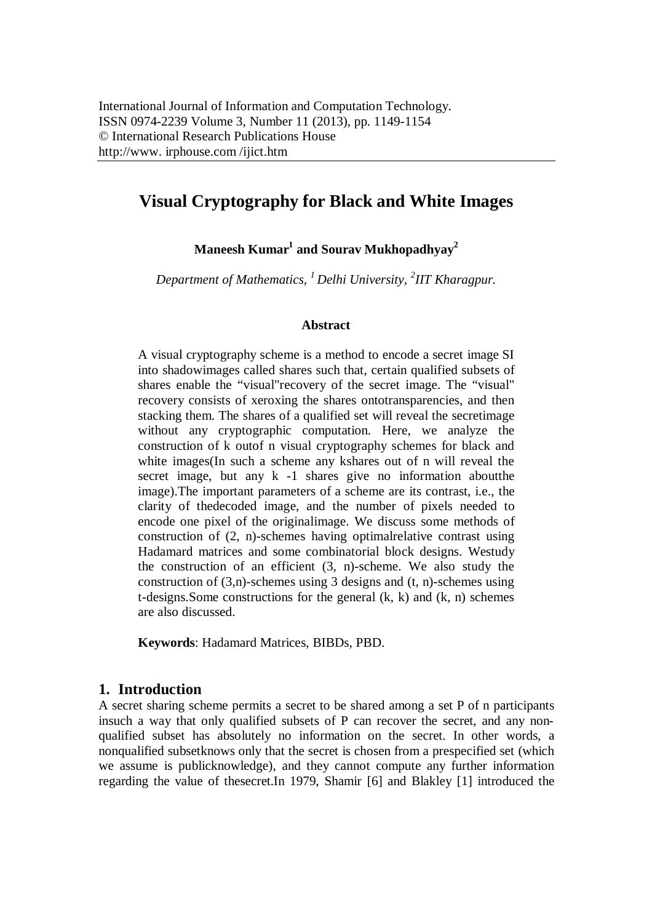# **Visual Cryptography for Black and White Images**

 $\mathbf{M}$ aneesh  $\mathbf{K}$ umar $^1$  and  $\mathbf{S}$ ourav  $\mathbf{M}$ ukhopadhyay $^2$ 

*Department of Mathematics, <sup>1</sup>Delhi University, <sup>2</sup> IIT Kharagpur.*

#### **Abstract**

A visual cryptography scheme is a method to encode a secret image SI into shadowimages called shares such that, certain qualified subsets of shares enable the "visual"recovery of the secret image. The "visual" recovery consists of xeroxing the shares ontotransparencies, and then stacking them. The shares of a qualified set will reveal the secretimage without any cryptographic computation. Here, we analyze the construction of k outof n visual cryptography schemes for black and white images(In such a scheme any kshares out of n will reveal the secret image, but any k -1 shares give no information aboutthe image).The important parameters of a scheme are its contrast, i.e., the clarity of thedecoded image, and the number of pixels needed to encode one pixel of the originalimage. We discuss some methods of construction of (2, n)-schemes having optimalrelative contrast using Hadamard matrices and some combinatorial block designs. Westudy the construction of an efficient (3, n)-scheme. We also study the construction of  $(3,n)$ -schemes using 3 designs and  $(t, n)$ -schemes using t-designs. Some constructions for the general  $(k, k)$  and  $(k, n)$  schemes are also discussed.

**Keywords**: Hadamard Matrices, BIBDs, PBD.

#### **1. Introduction**

A secret sharing scheme permits a secret to be shared among a set P of n participants insuch a way that only qualified subsets of P can recover the secret, and any nonqualified subset has absolutely no information on the secret. In other words, a nonqualified subsetknows only that the secret is chosen from a prespecified set (which we assume is publicknowledge), and they cannot compute any further information regarding the value of thesecret.In 1979, Shamir [6] and Blakley [1] introduced the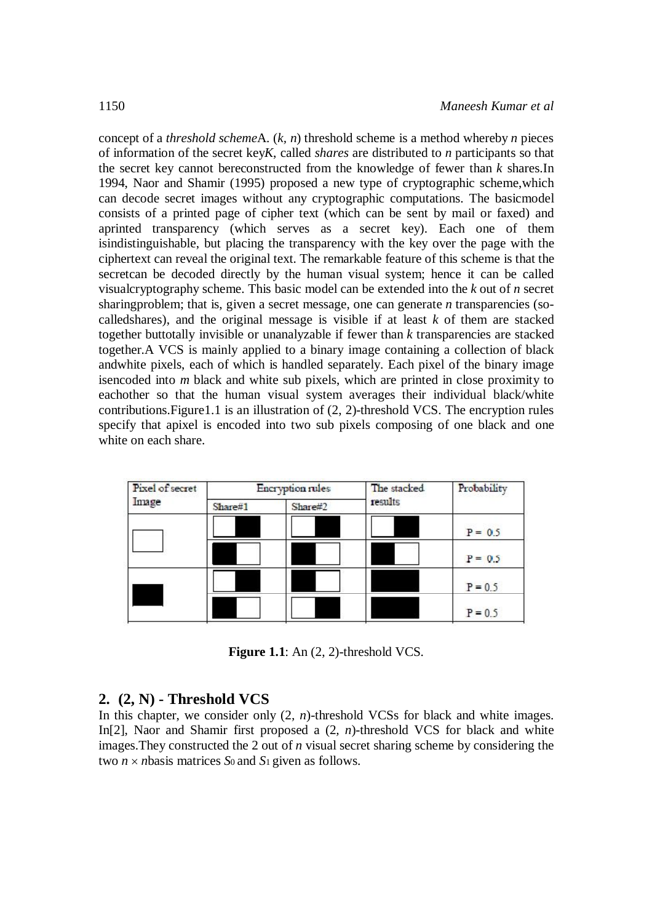concept of a *threshold scheme*A. (*k, n*) threshold scheme is a method whereby *n* pieces of information of the secret key*K*, called *shares* are distributed to *n* participants so that the secret key cannot bereconstructed from the knowledge of fewer than *k* shares.In 1994, Naor and Shamir (1995) proposed a new type of cryptographic scheme,which can decode secret images without any cryptographic computations. The basicmodel consists of a printed page of cipher text (which can be sent by mail or faxed) and aprinted transparency (which serves as a secret key). Each one of them isindistinguishable, but placing the transparency with the key over the page with the ciphertext can reveal the original text. The remarkable feature of this scheme is that the secretcan be decoded directly by the human visual system; hence it can be called visualcryptography scheme. This basic model can be extended into the *k* out of *n* secret sharingproblem; that is, given a secret message, one can generate *n* transparencies (socalledshares), and the original message is visible if at least *k* of them are stacked together buttotally invisible or unanalyzable if fewer than *k* transparencies are stacked together.A VCS is mainly applied to a binary image containing a collection of black andwhite pixels, each of which is handled separately. Each pixel of the binary image isencoded into *m* black and white sub pixels, which are printed in close proximity to eachother so that the human visual system averages their individual black/white contributions.Figure1.1 is an illustration of (2, 2)-threshold VCS. The encryption rules specify that apixel is encoded into two sub pixels composing of one black and one white on each share.

| Pixel of secret<br>Image | Encryption rules |         | The stacked | Probability |
|--------------------------|------------------|---------|-------------|-------------|
|                          | Share#1          | Share#2 | results     |             |
|                          |                  |         |             | $P = 0.5$   |
|                          |                  |         |             | $P = 0.5$   |
|                          |                  |         |             | $P = 0.5$   |
|                          |                  |         |             | $P = 0.5$   |

**Figure 1.1**: An (2, 2)-threshold VCS.

#### **2. (2, N) - Threshold VCS**

In this chapter, we consider only  $(2, n)$ -threshold VCSs for black and white images. In[2], Naor and Shamir first proposed a (2*, n*)-threshold VCS for black and white images.They constructed the 2 out of *n* visual secret sharing scheme by considering the two  $n \times n$  basis matrices *S*<sup>0</sup> and *S*<sup>1</sup> given as follows.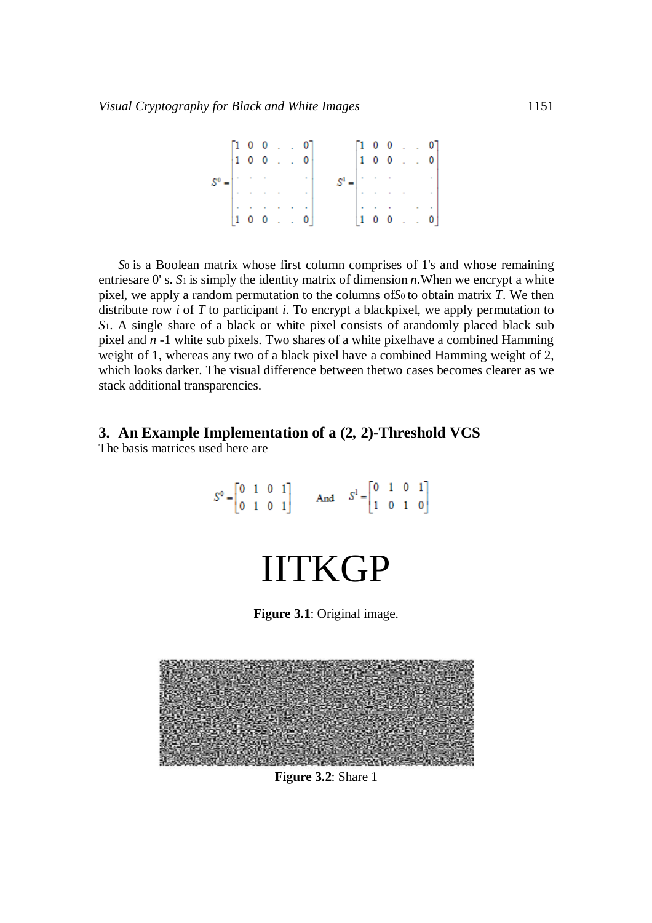$S^0 = \begin{bmatrix} 1 & 0 & 0 & . & . & 0 \\ 1 & 0 & 0 & . & . & 0 \\ . & . & . & . & . & . \\ . & . & . & . & . & . \\ 1 & 0 & 0 & . & . & 0 \\ \end{bmatrix} \qquad \qquad S^1 = \begin{bmatrix} 1 & 0 & 0 & . & . & 0 \\ 1 & 0 & 0 & . & . & 0 \\ . & . & . & . & . & . \\ . & . & . & . & . & . \\ . & . & . & . & . & . \\ 1 & 0 & 0 & . & . & 0 \\ \end{bmatrix}$ 

*S*0 is a Boolean matrix whose first column comprises of 1's and whose remaining entriesare 0' s. *S*1 is simply the identity matrix of dimension *n*.When we encrypt a white pixel, we apply a random permutation to the columns of*S*0 to obtain matrix *T*. We then distribute row *i* of *T* to participant *i*. To encrypt a blackpixel, we apply permutation to *S*1. A single share of a black or white pixel consists of arandomly placed black sub pixel and *n -*1 white sub pixels. Two shares of a white pixelhave a combined Hamming weight of 1, whereas any two of a black pixel have a combined Hamming weight of 2, which looks darker. The visual difference between thetwo cases becomes clearer as we stack additional transparencies.

# **3. An Example Implementation of a (2***,* **2)-Threshold VCS**

The basis matrices used here are



**Figure 3.2**: Share 1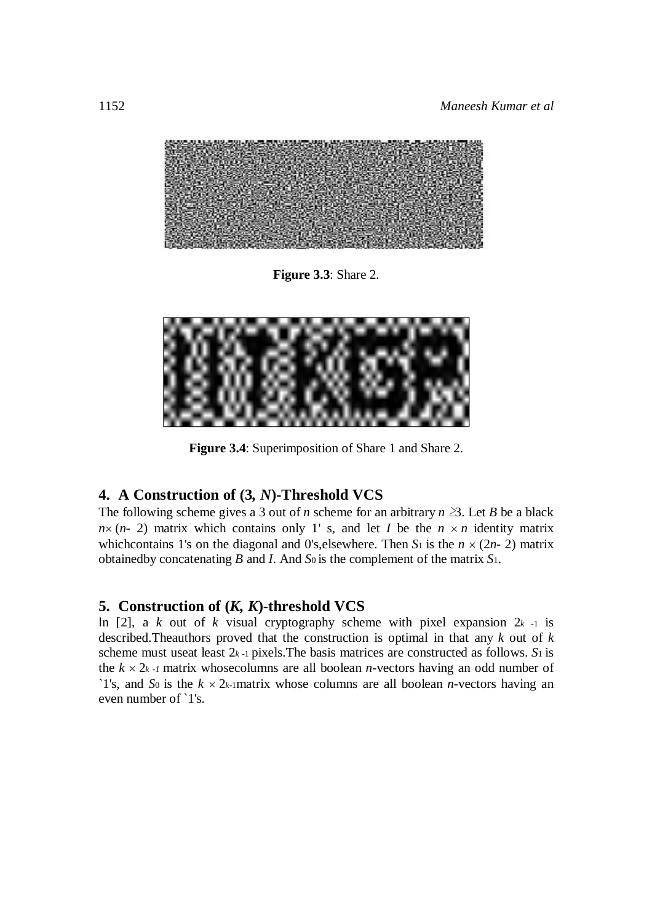

**Figure 3.3**: Share 2.



**Figure 3.4**: Superimposition of Share 1 and Share 2.

#### **4. A Construction of (3***, N***)-Threshold VCS**

The following scheme gives a 3 out of *n* scheme for an arbitrary  $n \geq 3$ . Let *B* be a black  $n \times (n-2)$  matrix which contains only 1' s, and let *I* be the  $n \times n$  identity matrix whichcontains 1's on the diagonal and 0's, elsewhere. Then  $S_1$  is the  $n \times (2n-2)$  matrix obtainedby concatenating *B* and *I*. And *S*0 is the complement of the matrix *S*1.

### **5. Construction of (***K, K***)-threshold VCS**

In [2], a *k* out of *k* visual cryptography scheme with pixel expansion  $2k - 1$  is described.Theauthors proved that the construction is optimal in that any *k* out of *k*  scheme must useat least 2*k -*1 pixels.The basis matrices are constructed as follows. *S*1 is the  $k \times 2k - 1$  matrix whose columns are all boolean *n*-vectors having an odd number of `1's, and *S*<sup>0</sup> is the  $k \times 2k$ -1matrix whose columns are all boolean *n*-vectors having an even number of `1's.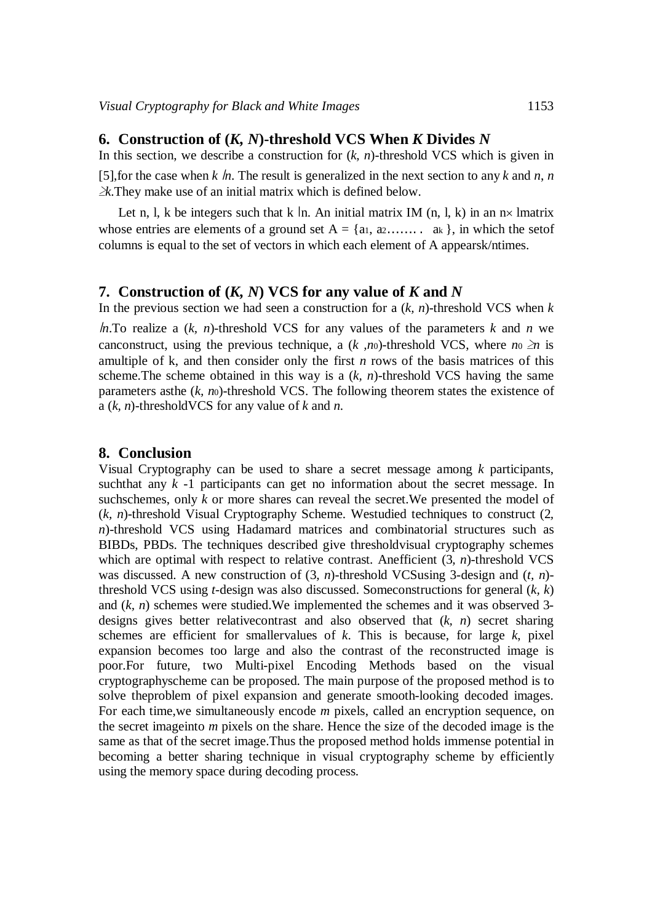#### **6. Construction of (***K, N***)-threshold VCS When** *K* **Divides** *N*

In this section, we describe a construction for  $(k, n)$ -threshold VCS which is given in [5], for the case when  $k \ln n$ . The result is generalized in the next section to any  $k$  and  $n, n$ *≥k*.They make use of an initial matrix which is defined below.

Let n, l, k be integers such that k |n. An initial matrix IM (n, l, k) in an  $nx$  lmatrix whose entries are elements of a ground set  $A = \{a_1, a_2, \ldots, a_k\}$ , in which the set of columns is equal to the set of vectors in which each element of A appearsk/ntimes.

#### **7. Construction of (***K, N***) VCS for any value of** *K* **and** *N*

In the previous section we had seen a construction for a  $(k, n)$ -threshold VCS when  $k$ 

*. To realize a*  $(k, n)$ *-threshold VCS for any values of the parameters*  $k$  *and*  $n$  *we* canconstruct, using the previous technique, a  $(k, no)$ -threshold VCS, where  $no \geq n$  is amultiple of k, and then consider only the first *n* rows of the basis matrices of this scheme. The scheme obtained in this way is a  $(k, n)$ -threshold VCS having the same parameters asthe (*k, n*0)-threshold VCS. The following theorem states the existence of a (*k, n*)-thresholdVCS for any value of *k* and *n*.

#### **8. Conclusion**

Visual Cryptography can be used to share a secret message among *k* participants, suchthat any *k -*1 participants can get no information about the secret message. In suchschemes, only *k* or more shares can reveal the secret. We presented the model of (*k, n*)-threshold Visual Cryptography Scheme. Westudied techniques to construct (2*, n*)-threshold VCS using Hadamard matrices and combinatorial structures such as BIBDs, PBDs. The techniques described give thresholdvisual cryptography schemes which are optimal with respect to relative contrast. Anefficient (3, *n*)-threshold VCS was discussed. A new construction of (3*, n*)-threshold VCSusing 3-design and (*t, n*) threshold VCS using *t*-design was also discussed. Someconstructions for general (*k, k*) and (*k, n*) schemes were studied.We implemented the schemes and it was observed 3 designs gives better relativecontrast and also observed that (*k, n*) secret sharing schemes are efficient for smallervalues of *k*. This is because, for large *k*, pixel expansion becomes too large and also the contrast of the reconstructed image is poor.For future, two Multi-pixel Encoding Methods based on the visual cryptographyscheme can be proposed. The main purpose of the proposed method is to solve theproblem of pixel expansion and generate smooth-looking decoded images. For each time,we simultaneously encode *m* pixels, called an encryption sequence, on the secret imageinto *m* pixels on the share. Hence the size of the decoded image is the same as that of the secret image.Thus the proposed method holds immense potential in becoming a better sharing technique in visual cryptography scheme by efficiently using the memory space during decoding process.